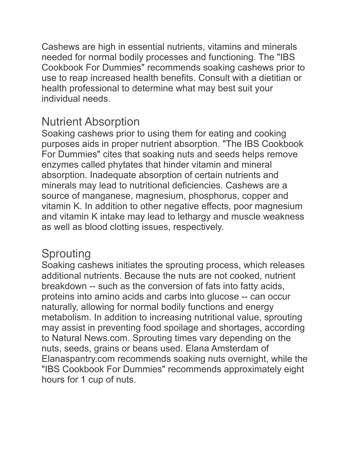Cashews are high in essential nutrients, vitamins and minerals needed for normal bodily processes and functioning. The "IBS Cookbook For Dummies" recommends soaking cashews prior to use to reap increased health benefits. Consult with a dietitian or health professional to determine what may best suit your individual needs.

## Nutrient Absorption

Soaking cashews prior to using them for eating and cooking purposes aids in proper nutrient absorption. "The IBS Cookbook For Dummies" cites that soaking nuts and seeds helps remove enzymes called phytates that hinder vitamin and mineral absorption. Inadequate absorption of certain nutrients and minerals may lead to nutritional deficiencies. Cashews are a source of manganese, magnesium, phosphorus, copper and vitamin K. In addition to other negative effects, poor magnesium and vitamin K intake may lead to lethargy and muscle weakness as well as blood clotting issues, respectively.

## Sprouting

Soaking cashews initiates the sprouting process, which releases additional nutrients. Because the nuts are not cooked, nutrient breakdown -- such as the conversion of fats into fatty acids, proteins into amino acids and carbs into glucose -- can occur naturally, allowing for normal bodily functions and energy metabolism. In addition to increasing nutritional value, sprouting may assist in preventing food spoilage and shortages, according to Natural News.com. Sprouting times vary depending on the nuts, seeds, grains or beans used. Elana Amsterdam of Elanaspantry.com recommends soaking nuts overnight, while the "IBS Cookbook For Dummies" recommends approximately eight hours for 1 cup of nuts.